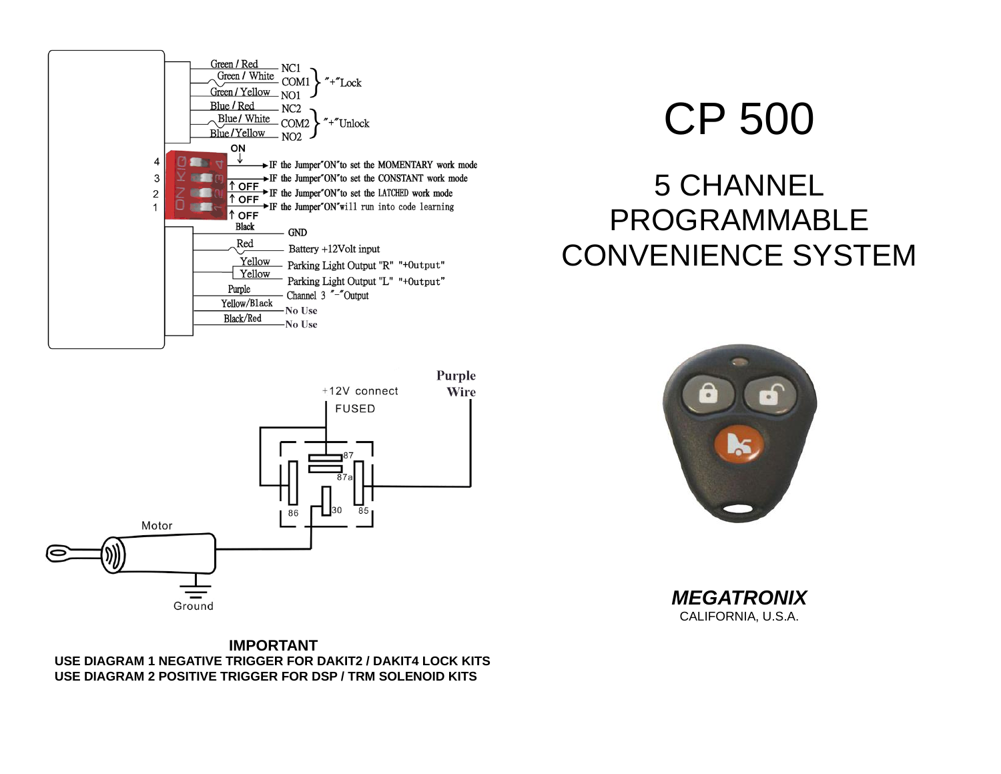



# CP 500

# 5 CHANNEL PROGRAMMABLE CONVENIENCE SYSTEM



*MEGATRONIX* CALIFORNIA, U.S.A.

**IMPORTANT USE DIAGRAM 1 NEGATIVE TRIGGER FOR DAKIT2 / DAKIT4 LOCK KITS USE DIAGRAM 2 POSITIVE TRIGGER FOR DSP / TRM SOLENOID KITS**